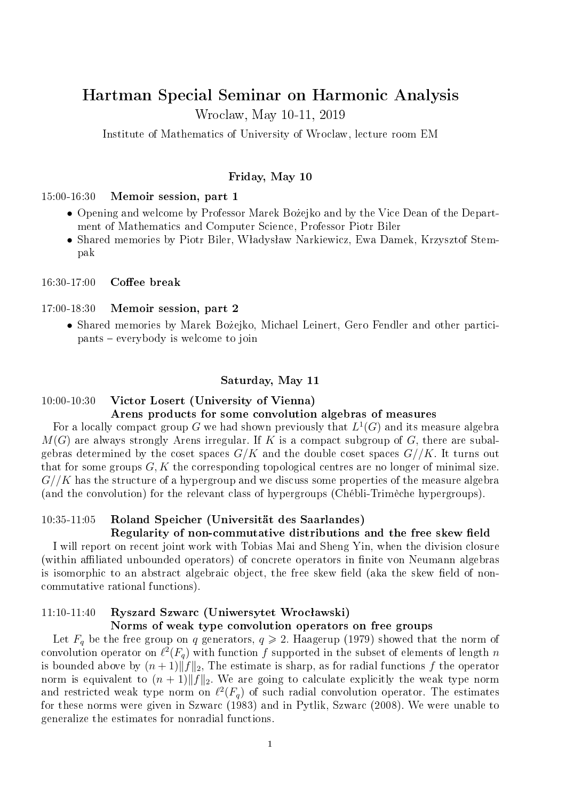# Hartman Special Seminar on Harmonic Analysis

Wroclaw, May 10-11, 2019

Institute of Mathematics of University of Wroclaw, lecture room EM

#### Friday, May 10

### 15:00-16:30 Memoir session, part 1

- Opening and welcome by Professor Marek Bozejko and by the Vice Dean of the Department of Mathematics and Computer Science, Professor Piotr Biler
- Shared memories by Piotr Biler, Władysław Narkiewicz, Ewa Damek, Krzysztof Stempak

 $16:30-17:00$  Coffee break

#### 17:00-18:30 Memoir session, part 2

• Shared memories by Marek Bozejko, Michael Leinert, Gero Fendler and other participants everybody is welcome to join

#### Saturday, May 11

# 10:00-10:30 Victor Losert (University of Vienna)

### Arens products for some convolution algebras of measures

For a locally compact group  $G$  we had shown previously that  $L^1(G)$  and its measure algebra *M*(*G*) are always strongly Arens irregular. If *K* is a compact subgroup of *G*, there are subalgebras determined by the coset spaces  $G/K$  and the double coset spaces  $G//K$ . It turns out that for some groups *G, K* the corresponding topological centres are no longer of minimal size. *G//K* has the structure of a hypergroup and we discuss some properties of the measure algebra (and the convolution) for the relevant class of hypergroups (Chébli-Trimèche hypergroups).

### 10:35-11:05 Roland Speicher (Universität des Saarlandes)

#### Regularity of non-commutative distributions and the free skew field

I will report on recent joint work with Tobias Mai and Sheng Yin, when the division closure (within affiliated unbounded operators) of concrete operators in finite von Neumann algebras is isomorphic to an abstract algebraic object, the free skew field (aka the skew field of noncommutative rational functions).

### $11:10-11:40$  Ryszard Szwarc (Uniwersytet Wrocławski)

#### Norms of weak type convolution operators on free groups

Let  $F_q$  be the free group on *q* generators,  $q \ge 2$ . Haagerup (1979) showed that the norm of convolution operator on  $\ell^2(F_q)$  with function  $f$  supported in the subset of elements of length  $n$ is bounded above by  $(n+1)\|\hat{f}\|_2$ , The estimate is sharp, as for radial functions f the operator norm is equivalent to  $(n + 1) \|f\|_2$ . We are going to calculate explicitly the weak type norm and restricted weak type norm on  $\ell^2(F_q)$  of such radial convolution operator. The estimates for these norms were given in Szwarc (1983) and in Pytlik, Szwarc (2008). We were unable to generalize the estimates for nonradial functions.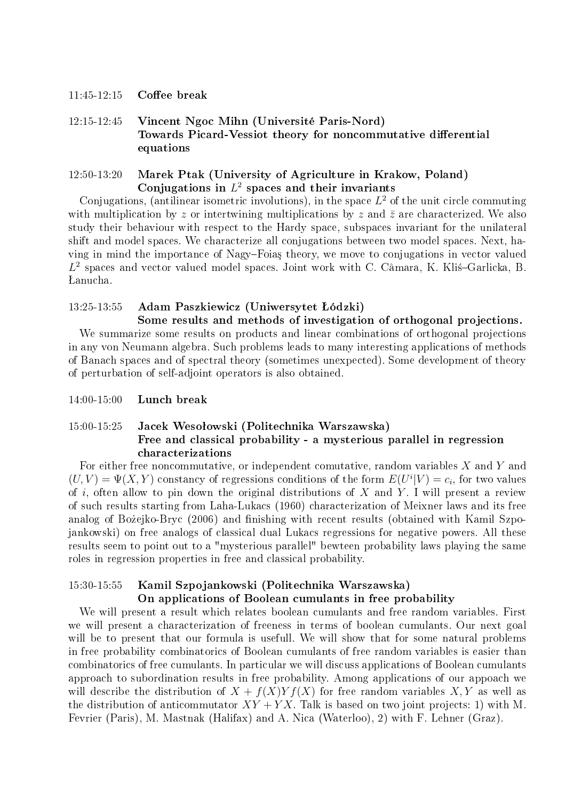### $11:45-12:15$  Coffee break

12:15-12:45 Vincent Ngoc Mihn (Université Paris-Nord) Towards Picard-Vessiot theory for noncommutative differential equations

# 12:50-13:20 Marek Ptak (University of Agriculture in Krakow, Poland) Conjugations in *L* 2 spaces and their invariants

Conjugations, (antilinear isometric involutions), in the space  $L^2$  of the unit circle commuting with multiplication by z or intertwining multiplications by z and  $\bar{z}$  are characterized. We also study their behaviour with respect to the Hardy space, subspaces invariant for the unilateral shift and model spaces. We characterize all conjugations between two model spaces. Next, having in mind the importance of Nagy-Foias theory, we move to conjugations in vector valued L<sup>2</sup> spaces and vector valued model spaces. Joint work with C. Câmara, K. Klis-Garlicka, B. anucha.

# 13:25-13:55 Adam Paszkiewicz (Uniwersytet ódzki)

### Some results and methods of investigation of orthogonal projections.

We summarize some results on products and linear combinations of orthogonal projections in any von Neumann algebra. Such problems leads to many interesting applications of methods of Banach spaces and of spectral theory (sometimes unexpected). Some development of theory of perturbation of self-adjoint operators is also obtained.

14:00-15:00 Lunch break

# 15:00-15:25 Jacek Wesoªowski (Politechnika Warszawska) Free and classical probability - a mysterious parallel in regression characterizations

For either free noncommutative, or independent comutative, random variables *X* and *Y* and  $(U, V) = \Psi(X, Y)$  constancy of regressions conditions of the form  $E(U^i|V) = c_i$ , for two values of *i*, often allow to pin down the original distributions of *X* and *Y* . I will present a review of such results starting from Laha-Lukacs (1960) characterization of Meixner laws and its free analog of Bożejko-Bryc (2006) and finishing with recent results (obtained with Kamil Szpojankowski) on free analogs of classical dual Lukacs regressions for negative powers. All these results seem to point out to a "mysterious parallel" bewteen probability laws playing the same roles in regression properties in free and classical probability.

# 15:30-15:55 Kamil Szpojankowski (Politechnika Warszawska)

#### On applications of Boolean cumulants in free probability

We will present a result which relates boolean cumulants and free random variables. First we will present a characterization of freeness in terms of boolean cumulants. Our next goal will be to present that our formula is usefull. We will show that for some natural problems in free probability combinatorics of Boolean cumulants of free random variables is easier than combinatorics of free cumulants. In particular we will discuss applications of Boolean cumulants approach to subordination results in free probability. Among applications of our appoach we will describe the distribution of  $X + f(X)Yf(X)$  for free random variables X, Y as well as the distribution of anticommutator  $XY + YX$ . Talk is based on two joint projects: 1) with M. Fevrier (Paris), M. Mastnak (Halifax) and A. Nica (Waterloo), 2) with F. Lehner (Graz).